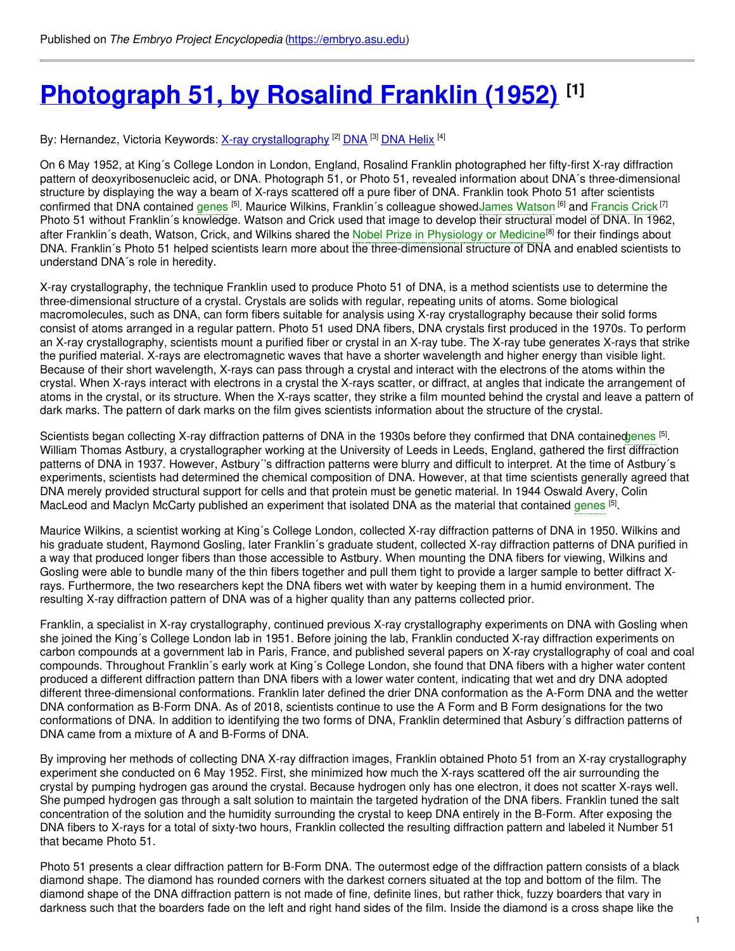# **[Photograph](https://embryo.asu.edu/pages/photograph-51-rosalind-franklin-1952) 51, by Rosalind Franklin (1952) [1]**

By: Hernandez, Victoria Keywords: <u>X-ray [crystallography](https://embryo.asu.edu/keywords/x-ray-crystallography) [2] [DNA](https://embryo.asu.edu/keywords/dna)</u> [3] <u>DNA [Helix](https://embryo.asu.edu/keywords/dna-helix)</u> [4]

On 6 May 1952, at King´s College London in London, England, Rosalind Franklin photographed her fifty-first X-ray diffraction pattern of deoxyribosenucleic acid, or DNA. Photograph 51, or Photo 51, revealed information about DNA´s three-dimensional structure by displaying the way a beam of X-rays scattered off a pure fiber of DNA. Franklin took Photo 51 after scientists confirmed that DNA contained [genes](https://embryo.asu.edu/search?text=genes) <sup>[5]</sup>. Maurice Wilkins, Franklin´s colleague showedJames [Watson](https://embryo.asu.edu/search?text=James%20Watson) <sup>[6]</sup> and [Francis](https://embryo.asu.edu/search?text=Francis%20Crick) Crick <sup>[7]</sup> Photo 51 without Franklin´s knowledge. Watson and Crick used that image to develop their structural model of DNA. In 1962, after Franklin´s death, Watson, Crick, and Wilkins shared the Nobel Prize in [Physiology](https://embryo.asu.edu/search?text=Nobel%20Prize%20in%20Physiology%20or%20Medicine) or Medicine<sup>[8]</sup> for their findings about DNA. Franklin´s Photo 51 helped scientists learn more about the three-dimensional structure of DNA and enabled scientists to understand DNA´s role in heredity.

X-ray crystallography, the technique Franklin used to produce Photo 51 of DNA, is a method scientists use to determine the three-dimensional structure of a crystal. Crystals are solids with regular, repeating units of atoms. Some biological macromolecules, such as DNA, can form fibers suitable for analysis using X-ray crystallography because their solid forms consist of atoms arranged in a regular pattern. Photo 51 used DNA fibers, DNA crystals first produced in the 1970s. To perform an X-ray crystallography, scientists mount a purified fiber or crystal in an X-ray tube. The X-ray tube generates X-rays that strike the purified material. X-rays are electromagnetic waves that have a shorter wavelength and higher energy than visible light. Because of their short wavelength, X-rays can pass through a crystal and interact with the electrons of the atoms within the crystal. When X-rays interact with electrons in a crystal the X-rays scatter, or diffract, at angles that indicate the arrangement of atoms in the crystal, or its structure. When the X-rays scatter, they strike a film mounted behind the crystal and leave a pattern of dark marks. The pattern of dark marks on the film gives scientists information about the structure of the crystal.

Scientists began collecting X-ray diffraction patterns of DNA in the 1930s before they confirmed that DNA containe[dgenes](https://embryo.asu.edu/search?text=genes) <sup>[5]</sup>. William Thomas Astbury, a crystallographer working at the University of Leeds in Leeds, England, gathered the first diffraction patterns of DNA in 1937. However, Astbury´'s diffraction patterns were blurry and difficult to interpret. At the time of Astbury´s experiments, scientists had determined the chemical composition of DNA. However, at that time scientists generally agreed that DNA merely provided structural support for cells and that protein must be genetic material. In 1944 Oswald Avery, Colin MacLeod and Maclyn McCarty published an experiment that isolated DNA as the material that contained [genes](https://embryo.asu.edu/search?text=genes) <sup>[5]</sup>.

Maurice Wilkins, a scientist working at King´s College London, collected X-ray diffraction patterns of DNA in 1950. Wilkins and his graduate student, Raymond Gosling, later Franklin´s graduate student, collected X-ray diffraction patterns of DNA purified in a way that produced longer fibers than those accessible to Astbury. When mounting the DNA fibers for viewing, Wilkins and Gosling were able to bundle many of the thin fibers together and pull them tight to provide a larger sample to better diffract Xrays. Furthermore, the two researchers kept the DNA fibers wet with water by keeping them in a humid environment. The resulting X-ray diffraction pattern of DNA was of a higher quality than any patterns collected prior.

Franklin, a specialist in X-ray crystallography, continued previous X-ray crystallography experiments on DNA with Gosling when she joined the King´s College London lab in 1951. Before joining the lab, Franklin conducted X-ray diffraction experiments on carbon compounds at a government lab in Paris, France, and published several papers on X-ray crystallography of coal and coal compounds. Throughout Franklin´s early work at King´s College London, she found that DNA fibers with a higher water content produced a different diffraction pattern than DNA fibers with a lower water content, indicating that wet and dry DNA adopted different three-dimensional conformations. Franklin later defined the drier DNA conformation as the A-Form DNA and the wetter DNA conformation as B-Form DNA. As of 2018, scientists continue to use the A Form and B Form designations for the two conformations of DNA. In addition to identifying the two forms of DNA, Franklin determined that Asbury´s diffraction patterns of DNA came from a mixture of A and B-Forms of DNA.

By improving her methods of collecting DNA X-ray diffraction images, Franklin obtained Photo 51 from an X-ray crystallography experiment she conducted on 6 May 1952. First, she minimized how much the X-rays scattered off the air surrounding the crystal by pumping hydrogen gas around the crystal. Because hydrogen only has one electron, it does not scatter X-rays well. She pumped hydrogen gas through a salt solution to maintain the targeted hydration of the DNA fibers. Franklin tuned the salt concentration of the solution and the humidity surrounding the crystal to keep DNA entirely in the B-Form. After exposing the DNA fibers to X-rays for a total of sixty-two hours, Franklin collected the resulting diffraction pattern and labeled it Number 51 that became Photo 51.

Photo 51 presents a clear diffraction pattern for B-Form DNA. The outermost edge of the diffraction pattern consists of a black diamond shape. The diamond has rounded corners with the darkest corners situated at the top and bottom of the film. The diamond shape of the DNA diffraction pattern is not made of fine, definite lines, but rather thick, fuzzy boarders that vary in darkness such that the boarders fade on the left and right hand sides of the film. Inside the diamond is a cross shape like the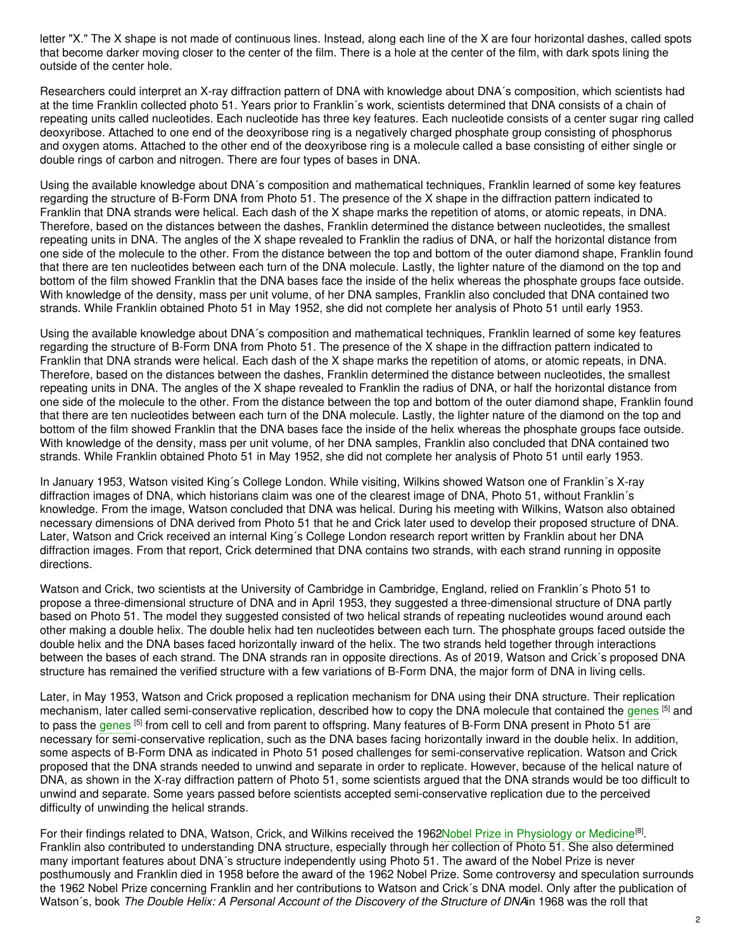letter "X." The X shape is not made of continuous lines. Instead, along each line of the X are four horizontal dashes, called spots that become darker moving closer to the center of the film. There is a hole at the center of the film, with dark spots lining the outside of the center hole.

Researchers could interpret an X-ray diffraction pattern of DNA with knowledge about DNA´s composition, which scientists had at the time Franklin collected photo 51. Years prior to Franklin´s work, scientists determined that DNA consists of a chain of repeating units called nucleotides. Each nucleotide has three key features. Each nucleotide consists of a center sugar ring called deoxyribose. Attached to one end of the deoxyribose ring is a negatively charged phosphate group consisting of phosphorus and oxygen atoms. Attached to the other end of the deoxyribose ring is a molecule called a base consisting of either single or double rings of carbon and nitrogen. There are four types of bases in DNA.

Using the available knowledge about DNA´s composition and mathematical techniques, Franklin learned of some key features regarding the structure of B-Form DNA from Photo 51. The presence of the X shape in the diffraction pattern indicated to Franklin that DNA strands were helical. Each dash of the X shape marks the repetition of atoms, or atomic repeats, in DNA. Therefore, based on the distances between the dashes, Franklin determined the distance between nucleotides, the smallest repeating units in DNA. The angles of the X shape revealed to Franklin the radius of DNA, or half the horizontal distance from one side of the molecule to the other. From the distance between the top and bottom of the outer diamond shape, Franklin found that there are ten nucleotides between each turn of the DNA molecule. Lastly, the lighter nature of the diamond on the top and bottom of the film showed Franklin that the DNA bases face the inside of the helix whereas the phosphate groups face outside. With knowledge of the density, mass per unit volume, of her DNA samples, Franklin also concluded that DNA contained two strands. While Franklin obtained Photo 51 in May 1952, she did not complete her analysis of Photo 51 until early 1953.

Using the available knowledge about DNA´s composition and mathematical techniques, Franklin learned of some key features regarding the structure of B-Form DNA from Photo 51. The presence of the X shape in the diffraction pattern indicated to Franklin that DNA strands were helical. Each dash of the X shape marks the repetition of atoms, or atomic repeats, in DNA. Therefore, based on the distances between the dashes, Franklin determined the distance between nucleotides, the smallest repeating units in DNA. The angles of the X shape revealed to Franklin the radius of DNA, or half the horizontal distance from one side of the molecule to the other. From the distance between the top and bottom of the outer diamond shape, Franklin found that there are ten nucleotides between each turn of the DNA molecule. Lastly, the lighter nature of the diamond on the top and bottom of the film showed Franklin that the DNA bases face the inside of the helix whereas the phosphate groups face outside. With knowledge of the density, mass per unit volume, of her DNA samples, Franklin also concluded that DNA contained two strands. While Franklin obtained Photo 51 in May 1952, she did not complete her analysis of Photo 51 until early 1953.

In January 1953, Watson visited King´s College London. While visiting, Wilkins showed Watson one of Franklin´s X-ray diffraction images of DNA, which historians claim was one of the clearest image of DNA, Photo 51, without Franklin´s knowledge. From the image, Watson concluded that DNA was helical. During his meeting with Wilkins, Watson also obtained necessary dimensions of DNA derived from Photo 51 that he and Crick later used to develop their proposed structure of DNA. Later, Watson and Crick received an internal King´s College London research report written by Franklin about her DNA diffraction images. From that report, Crick determined that DNA contains two strands, with each strand running in opposite directions.

Watson and Crick, two scientists at the University of Cambridge in Cambridge, England, relied on Franklin´s Photo 51 to propose a three-dimensional structure of DNA and in April 1953, they suggested a three-dimensional structure of DNA partly based on Photo 51. The model they suggested consisted of two helical strands of repeating nucleotides wound around each other making a double helix. The double helix had ten nucleotides between each turn. The phosphate groups faced outside the double helix and the DNA bases faced horizontally inward of the helix. The two strands held together through interactions between the bases of each strand. The DNA strands ran in opposite directions. As of 2019, Watson and Crick´s proposed DNA structure has remained the verified structure with a few variations of B-Form DNA, the major form of DNA in living cells.

Later, in May 1953, Watson and Crick proposed a replication mechanism for DNA using their DNA structure. Their replication mechanism, later called semi-conservative replication, described how to copy the DNA molecule that contained the [genes](https://embryo.asu.edu/search?text=genes) <sup>[5]</sup> and to pass the [genes](https://embryo.asu.edu/search?text=genes) <sup>[5]</sup> from cell to cell and from parent to offspring. Many features of B-Form DNA present in Photo 51 are necessary for semi-conservative replication, such as the DNA bases facing horizontally inward in the double helix. In addition, some aspects of B-Form DNA as indicated in Photo 51 posed challenges for semi-conservative replication. Watson and Crick proposed that the DNA strands needed to unwind and separate in order to replicate. However, because of the helical nature of DNA, as shown in the X-ray diffraction pattern of Photo 51, some scientists argued that the DNA strands would be too difficult to unwind and separate. Some years passed before scientists accepted semi-conservative replication due to the perceived difficulty of unwinding the helical strands.

For their findings related to DNA, Watson, Crick, and Wilkins received the 1962Nobel Prize in [Physiology](https://embryo.asu.edu/search?text=Nobel%20Prize%20in%20Physiology%20or%20Medicine) or Medicine<sup>[8]</sup>. Franklin also contributed to understanding DNA structure, especially through her collection of Photo 51. She also determined many important features about DNA´s structure independently using Photo 51. The award of the Nobel Prize is never posthumously and Franklin died in 1958 before the award of the 1962 Nobel Prize. Some controversy and speculation surrounds the 1962 Nobel Prize concerning Franklin and her contributions to Watson and Crick´s DNA model. Only after the publication of Watson´s, book *The Double Helix: A Personal Account of the Discovery of the Structure of DNA*in 1968 was the roll that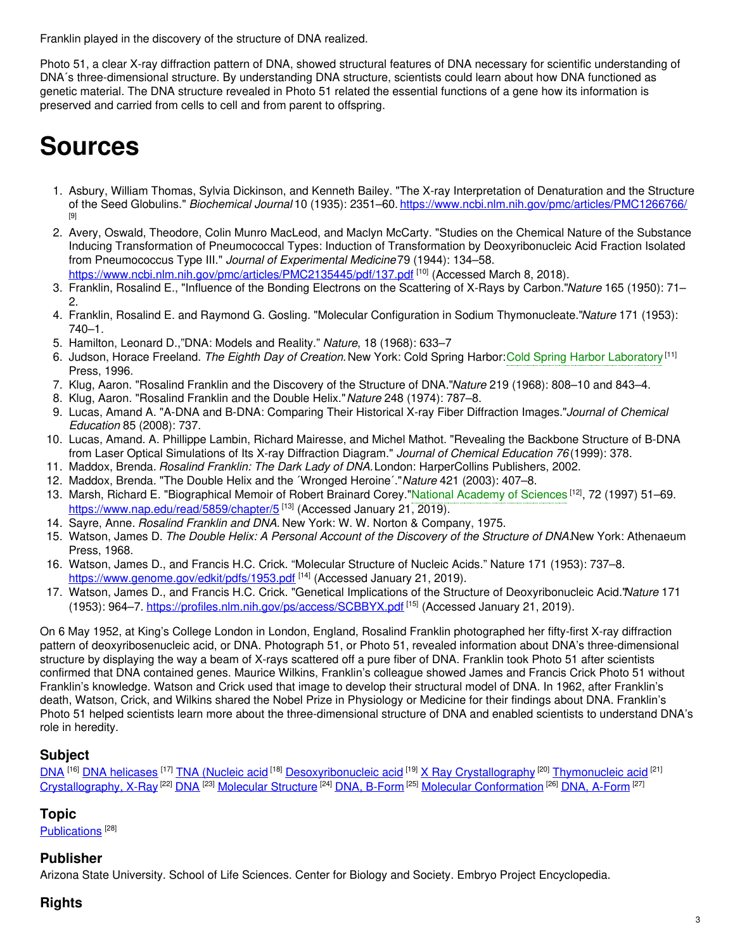Franklin played in the discovery of the structure of DNA realized.

Photo 51, a clear X-ray diffraction pattern of DNA, showed structural features of DNA necessary for scientific understanding of DNA´s three-dimensional structure. By understanding DNA structure, scientists could learn about how DNA functioned as genetic material. The DNA structure revealed in Photo 51 related the essential functions of a gene how its information is preserved and carried from cells to cell and from parent to offspring.

# **Sources**

- 1. Asbury, William Thomas, Sylvia Dickinson, and Kenneth Bailey. "The X-ray Interpretation of Denaturation and the Structure of the Seed Globulins." *Biochemical Journal* 10 (1935): 2351–60. [https://www.ncbi.nlm.nih.gov/pmc/articles/PMC1266766/](https://www.ncbi.nlm.nih.gov/pmc/articles/PMC1266766) [9]
- 2. Avery, Oswald, Theodore, Colin Munro MacLeod, and Maclyn McCarty. "Studies on the Chemical Nature of the Substance Inducing Transformation of Pneumococcal Types: Induction of Transformation by Deoxyribonucleic Acid Fraction Isolated from Pneumococcus Type III." *Journal of Experimental Medicine*79 (1944): 134–58.
- <https://www.ncbi.nlm.nih.gov/pmc/articles/PMC2135445/pdf/137.pdf> [10] (Accessed March 8, 2018). 3. Franklin, Rosalind E., "Influence of the Bonding Electrons on the Scattering of X-Rays by Carbon."*Nature* 165 (1950): 71– 2.
- 4. Franklin, Rosalind E. and Raymond G. Gosling. "Molecular Configuration in Sodium Thymonucleate."*Nature* 171 (1953): 740–1.
- 5. Hamilton, Leonard D.,"DNA: Models and Reality." *Nature*, 18 (1968): 633–7
- 6. Judson, Horace Freeland. *The Eighth Day of Creation.*New York: Cold Spring Harbor:Cold Spring Harbor [Laboratory](https://embryo.asu.edu/search?text=Cold%20Spring%20Harbor%20Laboratory) [11] Press, 1996.
- 7. Klug, Aaron. "Rosalind Franklin and the Discovery of the Structure of DNA."*Nature* 219 (1968): 808–10 and 843–4.
- 8. Klug, Aaron. "Rosalind Franklin and the Double Helix."*Nature* 248 (1974): 787–8.
- 9. Lucas, Amand A. "A-DNA and B-DNA: Comparing Their Historical X-ray Fiber Diffraction Images."*Journal of Chemical Education* 85 (2008): 737.
- 10. Lucas, Amand. A. Phillippe Lambin, Richard Mairesse, and Michel Mathot. "Revealing the Backbone Structure of B-DNA from Laser Optical Simulations of Its X-ray Diffraction Diagram." *Journal of Chemical Education 76* (1999): 378.
- 11. Maddox, Brenda. *Rosalind Franklin: The Dark Lady of DNA.*London: HarperCollins Publishers, 2002.
- 12. Maddox, Brenda. "The Double Helix and the ´Wronged Heroine´."*Nature* 421 (2003): 407–8.
- 13. Marsh, Richard E. "Biographical Memoir of Robert Brainard Corey."National [Academy](https://embryo.asu.edu/search?text=National%20Academy%20of%20Sciences) of Sciences <sup>[12]</sup>, 72 (1997) 51–69. <https://www.nap.edu/read/5859/chapter/5><sup>[13]</sup> (Accessed January 21, 2019).
- 14. Sayre, Anne. *Rosalind Franklin and DNA.* New York: W. W. Norton & Company, 1975.
- 15. Watson, James D. *The Double Helix: A Personal Account of the Discovery of the Structure of DNA.*New York: Athenaeum Press, 1968.
- 16. Watson, James D., and Francis H.C. Crick. "Molecular Structure of Nucleic Acids." Nature 171 (1953): 737–8. <https://www.genome.gov/edkit/pdfs/1953.pdf> <sup>[14]</sup> (Accessed January 21, 2019).
- 17. Watson, James D., and Francis H.C. Crick. "Genetical Implications of the Structure of Deoxyribonucleic Acid."*Nature* 171 (1953): 964–7. <https://profiles.nlm.nih.gov/ps/access/SCBBYX.pdf> <sup>[15]</sup> (Accessed January 21, 2019).

On 6 May 1952, at King's College London in London, England, Rosalind Franklin photographed her fifty-first X-ray diffraction pattern of deoxyribosenucleic acid, or DNA. Photograph 51, or Photo 51, revealed information about DNA's three-dimensional structure by displaying the way a beam of X-rays scattered off a pure fiber of DNA. Franklin took Photo 51 after scientists confirmed that DNA contained genes. Maurice Wilkins, Franklin's colleague showed James and Francis Crick Photo 51 without Franklin's knowledge. Watson and Crick used that image to develop their structural model of DNA. In 1962, after Franklin's death, Watson, Crick, and Wilkins shared the Nobel Prize in Physiology or Medicine for their findings about DNA. Franklin's Photo 51 helped scientists learn more about the three-dimensional structure of DNA and enabled scientists to understand DNA's role in heredity.

# **Subject**

[DNA](https://embryo.asu.edu/library-congress-subject-headings/dna) <sup>[16]</sup> DNA [helicases](https://embryo.asu.edu/library-congress-subject-headings/dna-helicases) <sup>[17]</sup> TNA [\(Nucleic](https://embryo.asu.edu/library-congress-subject-headings/tna-nucleic-acid) acid <sup>[18]</sup> [Desoxyribonucleic](https://embryo.asu.edu/library-congress-subject-headings/desoxyribonucleic-acid) acid <sup>[19]</sup> X Ray [Crystallography](https://embryo.asu.edu/library-congress-subject-headings/x-ray-crystallography-0) <sup>[20]</sup> [Thymonucleic](https://embryo.asu.edu/library-congress-subject-headings/thymonucleic-acid) acid <sup>[21]</sup> [Crystallography,](https://embryo.asu.edu/medical-subject-headings/crystallography-x-ray) X-Ray <sup>[22]</sup> [DNA](https://embryo.asu.edu/medical-subject-headings/dna) <sup>[23]</sup> [Molecular](https://embryo.asu.edu/medical-subject-headings/molecular-structure) Structure <sup>[24]</sup> DNA, [B-Form](https://embryo.asu.edu/medical-subject-headings/dna-b-form) <sup>[25]</sup> Molecular [Conformation](https://embryo.asu.edu/medical-subject-headings/molecular-conformation) <sup>[26]</sup> DNA, [A-Form](https://embryo.asu.edu/medical-subject-headings/dna-form) <sup>[27]</sup>

# **Topic**

[Publications](https://embryo.asu.edu/topics/publications)<sup>[28]</sup>

# **Publisher**

Arizona State University. School of Life Sciences. Center for Biology and Society. Embryo Project Encyclopedia.

# **Rights**